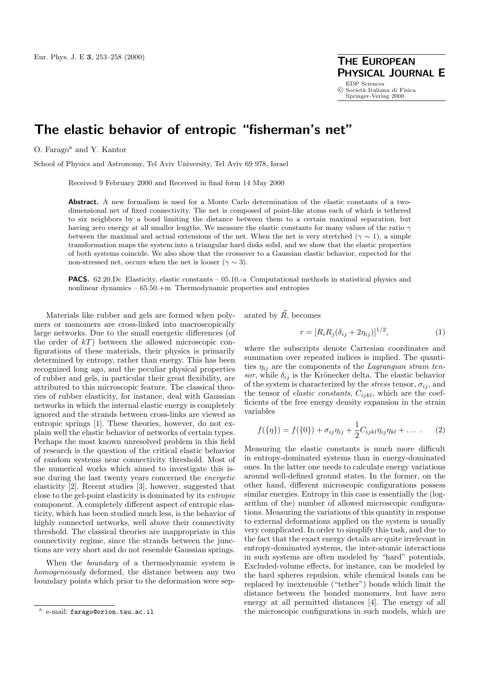**PHYSICAL JOURNAL E** EDP Sciences<br>© Società Italiana di Fisica Springer-Verlag 2000

## **The elastic behavior of entropic "fisherman's net"**

O. Farago<sup>a</sup> and Y. Kantor

School of Physics and Astronomy, Tel Aviv University, Tel Aviv 69 978, Israel

Received 9 February 2000 and Received in final form 14 May 2000

**Abstract.** A new formalism is used for a Monte Carlo determination of the elastic constants of a twodimensional net of fixed connectivity. The net is composed of point-like atoms each of which is tethered to six neighbors by a bond limiting the distance between them to a certain maximal separation, but having zero energy at all smaller lengths. We measure the elastic constants for many values of the ratio  $\gamma$ between the maximal and actual extensions of the net. When the net is very stretched ( $\gamma \sim 1$ ), a simple transformation maps the system into a triangular hard disks solid, and we show that the elastic properties of both systems coincide. We also show that the crossover to a Gaussian elastic behavior, expected for the non-stressed net, occurs when the net is looser ( $\gamma \sim 3$ ).

**PACS.** 62.20.Dc Elasticity, elastic constants – 05.10.-a Computational methods in statistical physics and nonlinear dynamics – 65.50.+m Thermodynamic properties and entropies

Materials like rubber and gels are formed when polymers or monomers are cross-linked into macroscopically large networks. Due to the small energetic differences (of the order of  $kT$ ) between the allowed microscopic configurations of these materials, their physics is primarily determined by entropy, rather than energy. This has been recognized long ago, and the peculiar physical properties of rubber and gels, in particular their great flexibility, are attributed to this microscopic feature. The classical theories of rubber elasticity, for instance, deal with Gaussian networks in which the internal elastic energy is completely ignored and the strands between cross-links are viewed as entropic springs [1]. These theories, however, do not explain well the elastic behavior of networks of certain types. Perhaps the most known unresolved problem in this field of research is the question of the critical elastic behavior of random systems near connectivity threshold. Most of the numerical works which aimed to investigate this issue during the last twenty years concerned the energetic elasticity [2]. Recent studies [3], however, suggested that close to the gel-point elasticity is dominated by its entropic component. A completely different aspect of entropic elasticity, which has been studied much less, is the behavior of highly connected networks, well above their connectivity threshold. The classical theories are inappropriate in this connectivity regime, since the strands between the junctions are very short and do not resemble Gaussian springs.

When the *boundary* of a thermodynamic system is homogeneously deformed, the distance between any two boundary points which prior to the deformation were separated by  $\vec{R}$ , becomes

$$
r = [R_i R_j (\delta_{ij} + 2\eta_{ij})]^{1/2}, \tag{1}
$$

where the subscripts denote Cartesian coordinates and summation over repeated indices is implied. The quantities  $\eta_{ij}$  are the components of the Lagrangian strain tensor, while  $\delta_{ij}$  is the Krönecker delta. The elastic behavior of the system is characterized by the *stress* tensor,  $\sigma_{ij}$ , and the tensor of *elastic constants*,  $C_{ijkl}$ , which are the coefficients of the free energy density expansion in the strain variables

$$
f(\{\eta\}) = f(\{0\}) + \sigma_{ij}\eta_{ij} + \frac{1}{2}C_{ijkl}\eta_{ij}\eta_{kl} + \dots
$$
 (2)

Measuring the elastic constants is much more difficult in entropy-dominated systems than in energy-dominated ones. In the latter one needs to calculate energy variations around well-defined ground states. In the former, on the other hand, different microscopic configurations possess similar energies. Entropy in this case is essentially the (logarithm of the) number of allowed microscopic configurations. Measuring the variations of this quantity in response to external deformations applied on the system is usually very complicated. In order to simplify this task, and due to the fact that the exact energy details are quite irrelevant in entropy-dominated systems, the inter-atomic interactions in such systems are often modeled by "hard" potentials. Excluded-volume effects, for instance, can be modeled by the hard spheres repulsion, while chemical bonds can be replaced by inextensible ("tether") bonds which limit the distance between the bonded monomers, but have zero energy at all permitted distances [4]. The energy of all the microscopic configurations in such models, which are

e-mail: farago@orion.tau.ac.il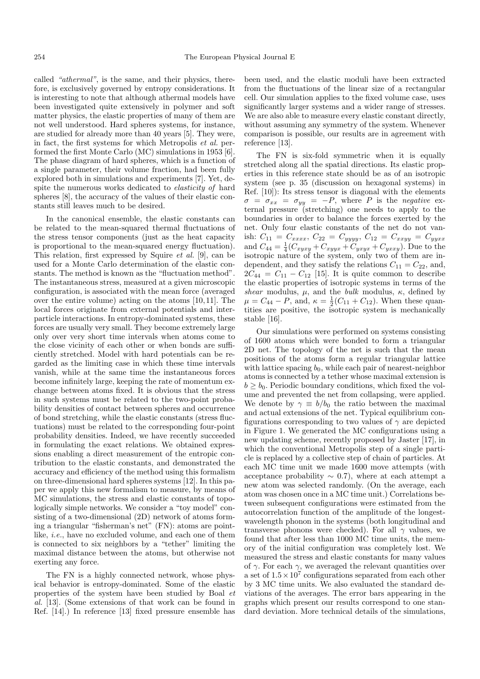called "athermal", is the same, and their physics, therefore, is exclusively governed by entropy considerations. It is interesting to note that although athermal models have been investigated quite extensively in polymer and soft matter physics, the elastic properties of many of them are not well understood. Hard spheres systems, for instance, are studied for already more than 40 years [5]. They were, in fact, the first systems for which Metropolis et al. performed the first Monte Carlo  $(MC)$  simulations in 1953 [6]. The phase diagram of hard spheres, which is a function of a single parameter, their volume fraction, had been fully explored both in simulations and experiments [7]. Yet, despite the numerous works dedicated to elasticity of hard spheres [8], the accuracy of the values of their elastic constants still leaves much to be desired.

In the canonical ensemble, the elastic constants can be related to the mean-squared thermal fluctuations of the stress tensor components (just as the heat capacity is proportional to the mean-squared energy fluctuation). This relation, first expressed by Squire et al. [9], can be used for a Monte Carlo determination of the elastic constants. The method is known as the "fluctuation method". The instantaneous stress, measured at a given microscopic configuration, is associated with the mean force (averaged over the entire volume) acting on the atoms  $[10, 11]$ . The local forces originate from external potentials and interparticle interactions. In entropy-dominated systems, these forces are usually very small. They become extremely large only over very short time intervals when atoms come to the close vicinity of each other or when bonds are sufficiently stretched. Model with hard potentials can be regarded as the limiting case in which these time intervals vanish, while at the same time the instantaneous forces become infinitely large, keeping the rate of momentum exchange between atoms fixed. It is obvious that the stress in such systems must be related to the two-point probability densities of contact between spheres and occurrence of bond stretching, while the elastic constants (stress fluctuations) must be related to the corresponding four-point probability densities. Indeed, we have recently succeeded in formulating the exact relations. We obtained expressions enabling a direct measurement of the entropic contribution to the elastic constants, and demonstrated the accuracy and efficiency of the method using this formalism on three-dimensional hard spheres systems [12]. In this paper we apply this new formalism to measure, by means of MC simulations, the stress and elastic constants of topologically simple networks. We consider a "toy model" consisting of a two-dimensional  $(2D)$  network of atoms forming a triangular "fisherman's net" (FN): atoms are pointlike, i.e., have no excluded volume, and each one of them is connected to six neighbors by a "tether" limiting the maximal distance between the atoms, but otherwise not exerting any force.

The FN is a highly connected network, whose physical behavior is entropy-dominated. Some of the elastic properties of the system have been studied by Boal et al. [13]. (Some extensions of that work can be found in Ref. [14].) In reference [13] fixed pressure ensemble has

been used, and the elastic moduli have been extracted from the fluctuations of the linear size of a rectangular cell. Our simulation applies to the fixed volume case, uses significantly larger systems and a wider range of stresses. We are also able to measure every elastic constant directly, without assuming any symmetry of the system. Whenever comparison is possible, our results are in agreement with reference [13].

The FN is six-fold symmetric when it is equally stretched along all the spatial directions. Its elastic properties in this reference state should be as of an isotropic system (see p. 35 (discussion on hexagonal systems) in Ref. [10]): Its stress tensor is diagonal with the elements  $\sigma = \sigma_{xx} = \sigma_{yy} = -P$ , where P is the negative external pressure (stretching) one needs to apply to the boundaries in order to balance the forces exerted by the net. Only four elastic constants of the net do not vanish:  $C_{11} = C_{xxxx}$ ,  $C_{22} = C_{yyyy}$ ,  $C_{12} = C_{xxyy} = C_{yyxx}$ and  $C_{44} = \frac{1}{4}(C_{xyxy} + C_{xyyx} + C_{yxyx} + C_{yxyy})$ . Due to the isotropic nature of the system, only two of them are independent, and they satisfy the relations  $C_{11} = C_{22}$ , and,  $2C_{44} = C_{11} - C_{12}$  [15]. It is quite common to describe the elastic properties of isotropic systems in terms of the shear modulus,  $\mu$ , and the bulk modulus,  $\kappa$ , defined by  $\mu = C_{44} - P$ , and,  $\kappa = \frac{1}{2}(C_{11} + C_{12})$ . When these quantities are positive, the isotropic system is mechanically stable [16].

Our simulations were performed on systems consisting of 1600 atoms which were bonded to form a triangular 2D net. The topology of the net is such that the mean positions of the atoms form a regular triangular lattice with lattice spacing  $b_0$ , while each pair of nearest-neighbor atoms is connected by a tether whose maximal extension is  $b > b_0$ . Periodic boundary conditions, which fixed the volume and prevented the net from collapsing, were applied. We denote by  $\gamma \equiv b/b_0$  the ratio between the maximal and actual extensions of the net. Typical equilibrium configurations corresponding to two values of  $\gamma$  are depicted in Figure 1. We generated the MC configurations using a new updating scheme, recently proposed by Jaster [17], in which the conventional Metropolis step of a single particle is replaced by a collective step of chain of particles. At each MC time unit we made 1600 move attempts (with acceptance probability  $\sim$  0.7), where at each attempt a new atom was selected randomly. (On the average, each atom was chosen once in a MC time unit.) Correlations between subsequent configurations were estimated from the autocorrelation function of the amplitude of the longestwavelength phonon in the systems (both longitudinal and transverse phonons were checked). For all  $\gamma$  values, we found that after less than 1000 MC time units, the memory of the initial configuration was completely lost. We measured the stress and elastic constants for many values of  $\gamma$ . For each  $\gamma$ , we averaged the relevant quantities over a set of  $1.5 \times 10^7$  configurations separated from each other by 3 MC time units. We also evaluated the standard deviations of the averages. The error bars appearing in the graphs which present our results correspond to one standard deviation. More technical details of the simulations,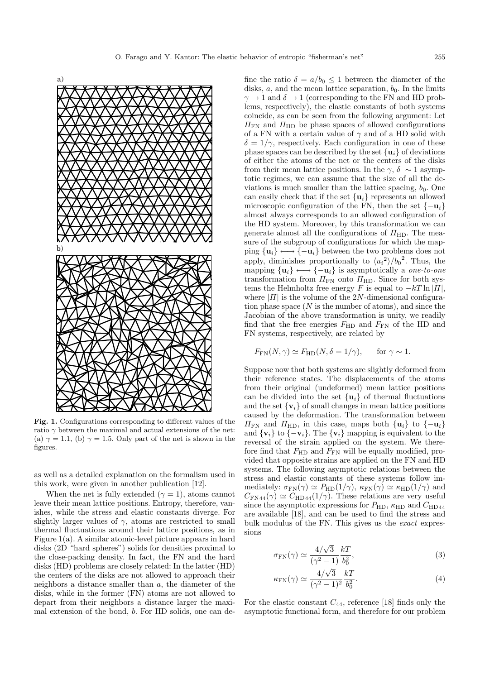

**Fig. 1.** Configurations corresponding to different values of the ratio  $\gamma$  between the maximal and actual extensions of the net: (a)  $\gamma = 1.1$ , (b)  $\gamma = 1.5$ . Only part of the net is shown in the figures.

as well as a detailed explanation on the formalism used in this work, were given in another publication [12].

When the net is fully extended ( $\gamma = 1$ ), atoms cannot leave their mean lattice positions. Entropy, therefore, vanishes, while the stress and elastic constants diverge. For slightly larger values of  $\gamma$ , atoms are restricted to small thermal fluctuations around their lattice positions, as in Figure 1(a). A similar atomic-level picture appears in hard disks (2D "hard spheres") solids for densities proximal to the close-packing density. In fact, the FN and the hard disks (HD) problems are closely related: In the latter (HD) the centers of the disks are not allowed to approach their neighbors a distance smaller than a, the diameter of the disks, while in the former (FN) atoms are not allowed to depart from their neighbors a distance larger the maximal extension of the bond, b. For HD solids, one can define the ratio  $\delta = a/b_0 \leq 1$  between the diameter of the disks,  $a$ , and the mean lattice separation,  $b_0$ . In the limits  $\gamma \rightarrow 1$  and  $\delta \rightarrow 1$  (corresponding to the FN and HD problems, respectively), the elastic constants of both systems coincide, as can be seen from the following argument: Let  $\Pi_{\rm FN}$  and  $\Pi_{\rm HD}$  be phase spaces of allowed configurations of a FN with a certain value of  $\gamma$  and of a HD solid with  $\delta = 1/\gamma$ , respectively. Each configuration in one of these phase spaces can be described by the set  $\{u_i\}$  of deviations of either the atoms of the net or the centers of the disks from their mean lattice positions. In the  $\gamma$ ,  $\delta \sim 1$  asymptotic regimes, we can assume that the size of all the deviations is much smaller than the lattice spacing,  $b_0$ . One can easily check that if the set  $\{u_i\}$  represents an allowed microscopic configuration of the FN, then the set  $\{-\mathbf{u}_i\}$ almost always corresponds to an allowed configuration of the HD system. Moreover, by this transformation we can generate almost all the configurations of  $\Pi$ <sub>HD</sub>. The measure of the subgroup of configurations for which the mapping  $\{u_i\} \longleftrightarrow \{-u_i\}$  between the two problems does not apply, diminishes proportionally to  $\langle u_i^2 \rangle / b_0^2$ . Thus, the mapping  $\{u_i\} \longleftrightarrow \{-u_i\}$  is asymptotically a *one-to-one* transformation from  $\Pi_{\text{FN}}$  onto  $\Pi_{\text{HD}}$ . Since for both systems the Helmholtz free energy F is equal to  $-kT \ln |H|$ , where  $|II|$  is the volume of the 2N-dimensional configuration phase space  $(N$  is the number of atoms), and since the Jacobian of the above transformation is unity, we readily find that the free energies  $F_{HD}$  and  $F_{FN}$  of the HD and FN systems, respectively, are related by

$$
F_{\text{FN}}(N, \gamma) \simeq F_{\text{HD}}(N, \delta = 1/\gamma), \quad \text{for } \gamma \sim 1.
$$

Suppose now that both systems are slightly deformed from their reference states. The displacements of the atoms from their original (undeformed) mean lattice positions can be divided into the set  $\{u_i\}$  of thermal fluctuations and the set  $\{v_i\}$  of small changes in mean lattice positions caused by the deformation. The transformation between  $\Pi_{\text{FN}}$  and  $\Pi_{\text{HD}}$ , in this case, maps both  $\{\mathbf{u}_i\}$  to  $\{-\mathbf{u}_i\}$ and  $\{v_i\}$  to  $\{-v_i\}$ . The  $\{v_i\}$  mapping is equivalent to the reversal of the strain applied on the system. We therefore find that  $F_{HD}$  and  $F_{FN}$  will be equally modified, provided that opposite strains are applied on the FN and HD systems. The following asymptotic relations between the stress and elastic constants of these systems follow immediately:  $\sigma_{FN}(\gamma) \simeq P_{HD}(1/\gamma)$ ,  $\kappa_{FN}(\gamma) \simeq \kappa_{HD}(1/\gamma)$  and  $C_{\text{FN}44}(\gamma) \simeq C_{\text{HD}44}(1/\gamma)$ . These relations are very useful since the asymptotic expressions for  $P_{\text{HD}}$ ,  $\kappa_{\text{HD}}$  and  $C_{\text{HD}44}$ are available [18], and can be used to find the stress and bulk modulus of the FN. This gives us the exact expressions

$$
\sigma_{FN}(\gamma) \simeq \frac{4/\sqrt{3}}{(\gamma^2 - 1)} \frac{kT}{b_0^2},\tag{3}
$$

$$
\kappa_{\rm FN}(\gamma) \simeq \frac{4/\sqrt{3}}{(\gamma^2 - 1)^2} \frac{kT}{b_0^2}.
$$
\n(4)

For the elastic constant  $C_{44}$ , reference [18] finds only the asymptotic functional form, and therefore for our problem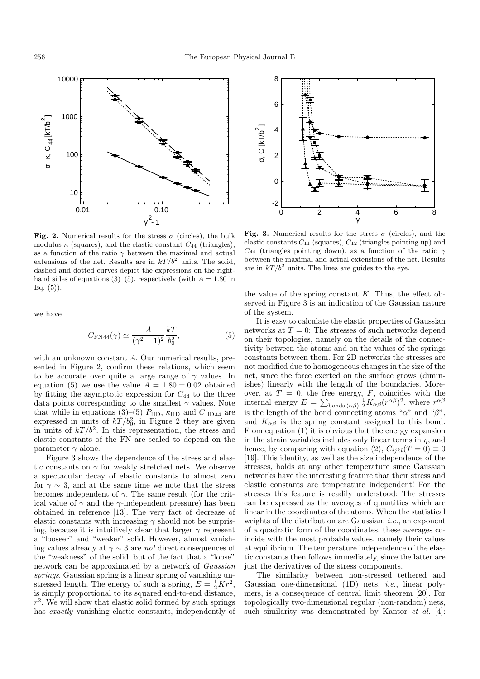

**Fig. 2.** Numerical results for the stress  $\sigma$  (circles), the bulk modulus  $\kappa$  (squares), and the elastic constant  $C_{44}$  (triangles), as a function of the ratio  $\gamma$  between the maximal and actual extensions of the net. Results are in  $kT/b^2$  units. The solid, dashed and dotted curves depict the expressions on the righthand sides of equations (3)–(5), respectively (with  $A = 1.80$  in Eq.  $(5)$ ).

we have

$$
C_{\rm FN44}(\gamma) \simeq \frac{A}{(\gamma^2 - 1)^2} \frac{kT}{b_0^2},
$$
 (5)

with an unknown constant A. Our numerical results, presented in Figure 2, confirm these relations, which seem to be accurate over quite a large range of  $\gamma$  values. In equation (5) we use the value  $A = 1.80 \pm 0.02$  obtained by fitting the asymptotic expression for  $C_{44}$  to the three data points corresponding to the smallest  $\gamma$  values. Note that while in equations (3)–(5)  $P_{HD}$ ,  $\kappa_{HD}$  and  $C_{HD44}$  are expressed in units of  $kT/b_0^2$ , in Figure 2 they are given in units of  $kT/b^2$ . In this representation, the stress and elastic constants of the FN are scaled to depend on the parameter  $\gamma$  alone.

Figure 3 shows the dependence of the stress and elastic constants on  $\gamma$  for weakly stretched nets. We observe a spectacular decay of elastic constants to almost zero for  $\gamma \sim 3$ , and at the same time we note that the stress becomes independent of  $\gamma$ . The same result (for the critical value of  $\gamma$  and the  $\gamma$ -independent pressure) has been obtained in reference [13]. The very fact of decrease of elastic constants with increasing  $\gamma$  should not be surprising, because it is intuitively clear that larger  $\gamma$  represent a "looseer" and "weaker" solid. However, almost vanishing values already at  $\gamma \sim 3$  are *not* direct consequences of the "weakness" of the solid, but of the fact that a "loose" network can be approximated by a network of Gaussian springs. Gaussian spring is a linear spring of vanishing unstressed length. The energy of such a spring,  $E = \frac{1}{2}Kr^2$ , is simply proportional to its squared end-to-end distance,  $r^2$ . We will show that elastic solid formed by such springs has exactly vanishing elastic constants, independently of



**Fig. 3.** Numerical results for the stress  $\sigma$  (circles), and the elastic constants  $C_{11}$  (squares),  $C_{12}$  (triangles pointing up) and  $C_{44}$  (triangles pointing down), as a function of the ratio  $\gamma$ between the maximal and actual extensions of the net. Results are in  $kT / b^2$  units. The lines are guides to the eye.

the value of the spring constant  $K$ . Thus, the effect observed in Figure 3 is an indication of the Gaussian nature of the system.

It is easy to calculate the elastic properties of Gaussian networks at  $T = 0$ : The stresses of such networks depend on their topologies, namely on the details of the connectivity between the atoms and on the values of the springs constants between them. For 2D networks the stresses are not modified due to homogeneous changes in the size of the net, since the force exerted on the surface grows (diminishes) linearly with the length of the boundaries. Moreover, at  $T = 0$ , the free energy, F, coincides with the internal energy  $E = \sum_{\text{bonds } \langle \alpha \beta \rangle} \frac{1}{2} K_{\alpha \beta} (r^{\alpha \beta})^2$ , where  $r^{\alpha \beta}$ is the length of the bond connecting atoms " $\alpha$ " and " $\beta$ ", and  $K_{\alpha\beta}$  is the spring constant assigned to this bond. From equation  $(1)$  it is obvious that the energy expansion in the strain variables includes only linear terms in  $\eta$ , and hence, by comparing with equation (2),  $C_{ijkl}(T=0) \equiv 0$ [19]. This identity, as well as the size independence of the stresses, holds at any other temperature since Gaussian networks have the interesting feature that their stress and elastic constants are temperature independent! For the stresses this feature is readily understood: The stresses can be expressed as the averages of quantities which are linear in the coordinates of the atoms. When the statistical weights of the distribution are Gaussian, *i.e.*, an exponent of a quadratic form of the coordinates, these averages coincide with the most probable values, namely their values at equilibrium. The temperature independence of the elastic constants then follows immediately, since the latter are just the derivatives of the stress components.

The similarity between non-stressed tethered and Gaussian one-dimensional  $(1D)$  nets, *i.e.*, linear polymers, is a consequence of central limit theorem [20]. For topologically two-dimensional regular (non-random) nets, such similarity was demonstrated by Kantor *et al.* [4]: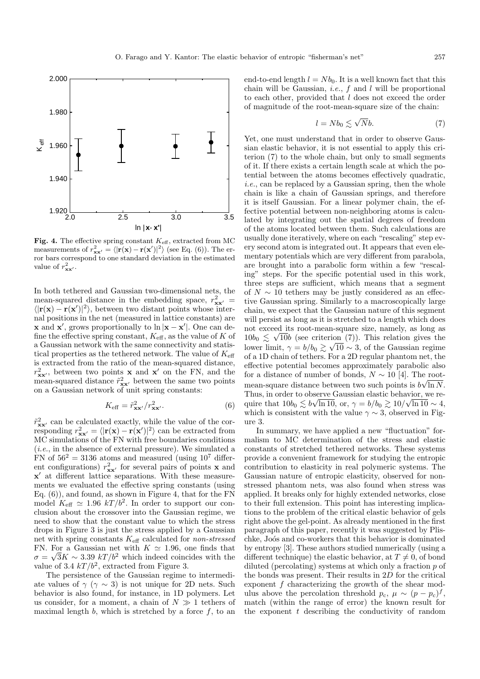

Fig. 4. The effective spring constant  $K_{\text{eff}}$ , extracted from MC measurements of  $r_{xx}^2 = \langle |\mathbf{r}(\mathbf{x}) - \mathbf{r}(\mathbf{x}')|^2 \rangle$  (see Eq. (6)). The er-<br>ror bars correspond to one standard deviation in the estimated ror bars correspond to one standard deviation in the estimated value of  $r_{\mathbf{x}\mathbf{x}'}^2$ .

In both tethered and Gaussian two-dimensional nets, the mean-squared distance in the embedding space,  $r_{\mathbf{x}\mathbf{x}'}^2$  =  $\langle | \mathbf{r}(\mathbf{x}) - \mathbf{r}(\mathbf{x}') |^2 \rangle$ , between two distant points whose internal positions in the net (measured in lattice constants) are **x** and **x**', grows proportionally to  $\ln |\mathbf{x} - \mathbf{x}'|$ . One can define the effective spring constant,  $K_{\text{eff}}$ , as the value of K of a Gaussian network with the same connectivity and statistical properties as the tethered network. The value of  $K_{\text{eff}}$ is extracted from the ratio of the mean-squared distance,  $r_{\mathbf{x}\mathbf{x}'}^2$ , between two points **x** and **x**' on the FN, and the mean-squared distance  $\tilde{r}_{xx}^2$  between the same two points on a Gaussian network of unit spring constants:

$$
K_{\text{eff}} = \tilde{r}_{\mathbf{x}\mathbf{x}}^2 / r_{\mathbf{x}\mathbf{x}}^2. \tag{6}
$$

 $\tilde{r}_{\mathbf{x}\mathbf{x}'}^2$  can be calculated exactly, while the value of the corresponding  $r_{\mathbf{x}\mathbf{x}'}^2 = \langle |\mathbf{r}(\mathbf{x}) - \mathbf{r}(\mathbf{x}')|^2 \rangle$  can be extracted from MC simulations of the FN with free boundaries conditions (i.e., in the absence of external pressure). We simulated a FN of  $56^2 = 3136$  atoms and measured (using  $10^7$  different configurations)  $r_{\mathbf{x}\mathbf{x}'}^2$  for several pairs of points **x** and **x** at different lattice separations. With these measurements we evaluated the effective spring constants (using Eq. (6)), and found, as shown in Figure 4, that for the FN model  $K_{\text{eff}} \simeq 1.96 \; kT / b^2$ . In order to support our conclusion about the crossover into the Gaussian regime, we need to show that the constant value to which the stress drops in Figure 3 is just the stress applied by a Gaussian net with spring constants  $K_{\text{eff}}$  calculated for *non-stressed* FN. For a Gaussian net with  $K \simeq 1.96$ , one finds that  $\sigma = \sqrt{3}K \sim 3.39 \; kT/b^2$  which indeed coincides with the value of 3.4  $kT/b^2$ , extracted from Figure 3.

The persistence of the Gaussian regime to intermediate values of  $\gamma$  ( $\gamma \sim 3$ ) is not unique for 2D nets. Such behavior is also found, for instance, in 1D polymers. Let us consider, for a moment, a chain of  $N \gg 1$  tethers of maximal length  $b$ , which is stretched by a force  $f$ , to an

end-to-end length  $l = Nb<sub>0</sub>$ . It is a well known fact that this chain will be Gaussian, *i.e.*,  $f$  and  $l$  will be proportional to each other, provided that l does not exceed the order of magnitude of the root-mean-square size of the chain:

$$
l = Nb_0 \lesssim \sqrt{N}b. \tag{7}
$$

Yet, one must understand that in order to observe Gaussian elastic behavior, it is not essential to apply this criterion  $(7)$  to the whole chain, but only to small segments of it. If there exists a certain length scale at which the potential between the atoms becomes effectively quadratic, i.e., can be replaced by a Gaussian spring, then the whole chain is like a chain of Gaussian springs, and therefore it is itself Gaussian. For a linear polymer chain, the effective potential between non-neighboring atoms is calculated by integrating out the spatial degrees of freedom of the atoms located between them. Such calculations are usually done iteratively, where on each "rescaling" step every second atom is integrated out. It appears that even elementary potentials which are very different from parabola, are brought into a parabolic form within a few "rescaling" steps. For the specific potential used in this work, three steps are sufficient, which means that a segment of  $N \sim 10$  tethers may be justly considered as an effective Gaussian spring. Similarly to a macroscopically large chain, we expect that the Gaussian nature of this segment will persist as long as it is stretched to a length which does not exceed its root-mean-square size, namely, as long as  $10b_0 \lesssim \sqrt{10}b$  (see criterion (7)). This relation gives the  $\frac{1000}{ }$   $\gtrsim$  V100 (see Criterion (1)). This relation gives the lower limit,  $\gamma = b/b_0$   $\gtrsim \sqrt{10}$  ∼ 3, of the Gaussian regime of a 1D chain of tethers. For a 2D regular phantom net, the effective potential becomes approximately parabolic also for a distance of number of bonds,  $N \sim 10$  [4]. The rootmean-square distance between two such points is  $b\sqrt{\ln N}$ . Thus, in order to observe Gaussian elastic behavior, we require that  $10b_0 \lesssim b\sqrt{\ln 10}$ , or,  $\gamma = b/b_0 \gtrsim 10/\sqrt{\ln 10} \sim 4$ , which is consistent with the value  $\gamma \sim 3$ , observed in Figure 3.

In summary, we have applied a new "fluctuation" formalism to MC determination of the stress and elastic constants of stretched tethered networks. These systems provide a convenient framework for studying the entropic contribution to elasticity in real polymeric systems. The Gaussian nature of entropic elasticity, observed for nonstressed phantom nets, was also found when stress was applied. It breaks only for highly extended networks, close to their full extension. This point has interesting implications to the problem of the critical elastic behavior of gels right above the gel-point. As already mentioned in the first paragraph of this paper, recently it was suggested by Plischke, Joós and co-workers that this behavior is dominated by entropy [3]. These authors studied numerically (using a different technique) the elastic behavior, at  $T \neq 0$ , of bond diluted (percolating) systems at which only a fraction  $p$  of the bonds was present. Their results in 2D for the critical exponent  $f$  characterizing the growth of the shear modulus above the percolation threshold  $p_c$ ,  $\mu \sim (p - p_c)^f$ , match (within the range of error) the known result for the exponent  $t$  describing the conductivity of random